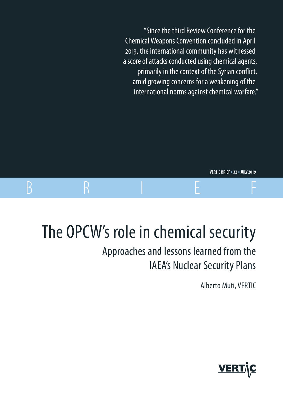"Since the third Review Conference for the Chemical Weapons Convention concluded in April 2013, the international community has witnessed a score of attacks conducted using chemical agents, primarily in the context of the Syrian conflict, amid growing concerns for a weakening of the international norms against chemical warfare."

The OPCW's role in chemical security

BRIEF

Approaches and lessons learned from the IAEA's Nuclear Security Plans

Alberto Muti, VERTIC

**VERTIC BRIEF** • **32** • **JULY 2019**

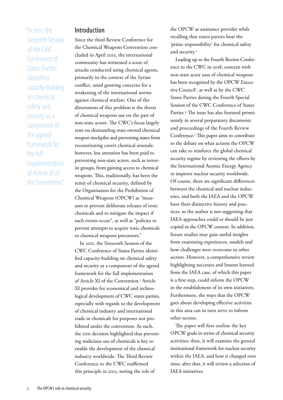"In 2011, the Sixteenth Session of the CWC Conference of States Parties identified capacity-building on chemical safety and security as a component of the agreed framework for the full implementation of Article XI of the Convention."

## Introduction

Since the third Review Conference for the Chemical Weapons Convention concluded in April 2013, the international community has witnessed a score of attacks conducted using chemical agents, primarily in the context of the Syrian conflict, amid growing concerns for a weakening of the international norms against chemical warfare. One of the dimensions of this problem is the threat of chemical weapons use on the part of non-state actors. The CWC's focus largely rests on dismantling state-owned chemical weapon stockpiles and preventing states from reconstituting covert chemical arsenals; however, less attention has been paid to preventing non-state actors, such as terrorist groups, from gaining access to chemical weapons. This, traditionally, has been the remit of chemical security, defined by the Organisation for the Prohibition of Chemical Weapons (OPCW) as "measures to prevent deliberate releases of toxic chemicals and to mitigate the impact if such events occur", as well as "policies to prevent attempts to acquire toxic chemicals or chemical weapons precursors."

In 2011, the Sixteenth Session of the CWC Conference of States Parties identified capacity-building on chemical safety and security as a component of the agreed framework for the full implementation of Article XI of the Convention.<sup>1</sup> Article XI provides for economical and technological development of CWC states parties, especially with regards to the development of chemical industry and international trade in chemicals for purposes not prohibited under the convention. As such, the 2011 decision highlighted that preventing malicious use of chemicals is key to enable the development of the chemical industry worldwide. The Third Review Conference to the CWC reaffirmed this principle in 2013, noting the role of

the OPCW as assistance provider while recalling that states parties bear the 'prime responsibility' for chemical safety and security.<sup>2</sup>

Leading up to the Fourth Review Conference to the CWC in 2018, concern with non-state actor uses of chemical weapons has been recognised by the OPCW Executive Council<sup>3</sup>, as well as by the CWC States Parties during the Fourth Special Session of the CWC Conference of States Parties.4 The issue has also featured prominently in several preparatory documents and proceedings of the Fourth Review Conference.<sup>5</sup> This paper aims to contribute to the debate on what actions the OPCW can take to reinforce the global chemical security regime by reviewing the efforts by the International Atomic Energy Agency to improve nuclear security worldwide. Of course, there are significant differences between the chemical and nuclear industries, and both the IAEA and the OPCW have their distinctive history and practices, so the author is not suggesting that IAEA approaches could or should be just copied in the OPCW context. In addition, future studies may gain useful insights from examining experiences, models and how challenges were overcome in other sectors. However, a comprehensive review highlighting successes and lessons learned from the IAEA case, of which this paper is a first step, could inform the OPCW in the establishment of its own initiatives. Furthermore, the ways that the OPCW goes about developing effective activities in this area can in turn serve to inform other sectors.

The paper will first outline the key OPCW goals in terms of chemical security activities; then, it will examine the general institutional framework for nuclear security within the IAEA, and how it changed over time; after that, it will review a selection of IAEA initiatives.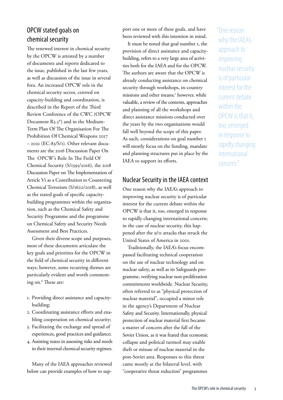## OPCW stated goals on chemical security

The renewed interest in chemical security by the OPCW is attested by a number of documents and reports dedicated to the issue, published in the last few years, as well as discussion of the issue in several fora. An increased OPCW role in the chemical security sector, centred on capacity-building and coordination, is described in the Report of the Third Review Conference of the CWC (OPCW Document R3.3\*) and in the Medium-Term Plan Of The Organisation For The Prohibition Of Chemical Weapons 2017 – 2021 (EC-83/S/1). Other relevant documents are the 2016 Discussion Paper On The OPCW's Role In The Field Of Chemical Security (S/1395/2016), the 2018 Discussion Paper on The Implementation of Article Vi as a Contribution to Countering Chemical Terrorism (S/1622/2018), as well as the stated goals of specific capacitybuilding programmes within the organization, such as the Chemical Safety and Security Programme and the programme on Chemical Safety and Security Needs Assessment and Best Practices.

Given their diverse scope and purposes, most of these documents articulate the key goals and priorities for the OPCW in the field of chemical security in different ways; however, some recurring themes are particularly evident and worth commenting on.6 These are:

- 1. Providing direct assistance and capacitybuilding;
- 2. Coordinating assistance efforts and enabling cooperation on chemical security;
- 3. Facilitating the exchange and spread of experiences, good practices and guidance;
- 4. Assisting states in assessing risks and needs in their internal chemical security regimes.

Many of the IAEA approaches reviewed below can provide examples of how to support one or more of these goals, and have been reviewed with this intention in mind.

It must be noted that goal number 1, the provision of direct assistance and capacitybuilding, refers to a very large area of activities both for the IAEA and for the OPCW. The authors are aware that the OPCW is already conducting assistance on chemical security through workshops, in-country missions and other means;7 however, while valuable, a review of the contents, approaches and planning of all the workshops and direct assistance missions conducted over the years by the two organisations would fall well beyond the scope of this paper. As such, considerations on goal number 1 will mostly focus on the funding, mandate and planning structures put in place by the IAEA to support its efforts.

## Nuclear Security in the IAEA context

One reason why the IAEA's approach to improving nuclear security is of particular interest for the current debate within the OPCW is that it, too, emerged in response to rapidly changing international concern; in the case of nuclear security, this happened after the 9/11 attacks that struck the United States of America in 2001.

Traditionally, the IAEA's focus encompassed facilitating technical cooperation on the use of nuclear technology and on nuclear safety, as well as its Safeguards programme, verifying nuclear non-proliferation commitments worldwide. Nuclear Security, often referred to as "physical protection of nuclear material", occupied a minor role in the agency's Department of Nuclear Safety and Security. Internationally, physical protection of nuclear material first became a matter of concern after the fall of the Soviet Union, as it was feared that economic collapse and political turmoil may enable theft or misuse of nuclear material in the post-Soviet area. Responses to this threat came mostly at the bilateral level, with "cooperative threat reduction" programmes

"One reason why the IAEA's approach to improving nuclear security is of particular interest for the current debate within the OPCW is that it, too, emerged in response to rapidly changing international concern."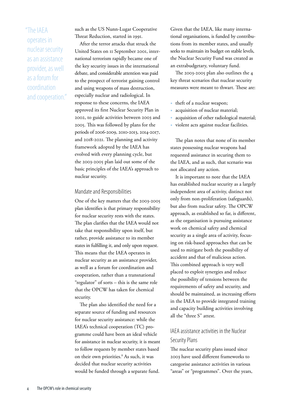"The IAEA operates in nuclear security as an assistance provider, as well as a forum for coordination and cooperation." such as the US Nunn-Lugar Cooperative Threat Reduction, started in 1991.

After the terror attacks that struck the United States on 11 September 2001, international terrorism rapidly became one of the key security issues in the international debate, and considerable attention was paid to the prospect of terrorist gaining control and using weapons of mass destruction, especially nuclear and radiological. In response to these concerns, the IAEA approved its first Nuclear Security Plan in 2002, to guide activities between 2003 and 2005. This was followed by plans for the periods of 2006-2009, 2010-2013, 2014-2017, and 2018-2021. The planning and activity framework adopted by the IAEA has evolved with every planning cycle, but the 2003-2005 plan laid out some of the basic principles of the IAEA's approach to nuclear security.

#### Mandate and Responsibilities

One of the key matters that the 2003-2005 plan identifies is that primary responsibility for nuclear security rests with the states. The plan clarifies that the IAEA would not take that responsibility upon itself, but rather, provide assistance to its member states in fulfilling it, and only upon request. This means that the IAEA operates in nuclear security as an assistance provider, as well as a forum for coordination and cooperation, rather than a transnational "regulator" of sorts – this is the same role that the OPCW has taken for chemical security.

The plan also identified the need for a separate source of funding and resources for nuclear security assistance: while the IAEA's technical cooperation (TC) programme could have been an ideal vehicle for assistance in nuclear security, it is meant to follow requests by member states based on their own priorities.<sup>8</sup> As such, it was decided that nuclear security activities would be funded through a separate fund.

Given that the IAEA, like many international organisations, is funded by contributions from its member states, and usually seeks to maintain its budget on stable levels, the Nuclear Security Fund was created as an extrabudgetary, voluntary fund.

The 2003-2005 plan also outlines the 4 key threat scenarios that nuclear security measures were meant to thwart. These are:

- theft of a nuclear weapon;
- acquisition of nuclear material;
- acquisition of other radiological material;
- violent acts against nuclear facilities.

The plan notes that none of its member states possessing nuclear weapons had requested assistance in securing them to the IAEA, and as such, that scenario was not allocated any action.

It is important to note that the IAEA has established nuclear security as a largely independent area of activity, distinct not only from non-proliferation (safeguards), but also from nuclear safety. The OPCW approach, as established so far, is different, as the organisation is pursuing assistance work on chemical safety and chemical security as a single area of activity, focusing on risk-based approaches that can be used to mitigate both the possibility of accident and that of malicious action. This combined approach is very well placed to exploit synergies and reduce the possibility of tensions between the requirements of safety and security, and should be maintained, as increasing efforts in the IAEA to provide integrated training and capacity building activities involving all the "three S" attest.

## IAEA assistance activities in the Nuclear Security Plans

The nuclear security plans issued since 2003 have used different frameworks to categorise assistance activities in various "areas" or "programmes". Over the years,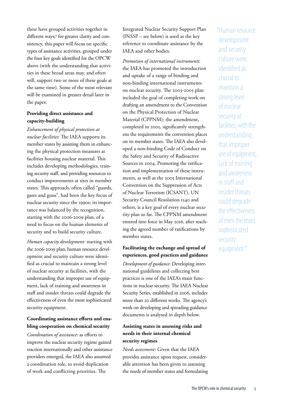these have grouped activities together in different ways;<sup>9</sup> for greater clarity and consistency, this paper will focus on specific types of assistance activities, grouped under the four key goals identified for the OPCW above (with the understanding that activities in these broad areas may, and often will, support two or more of these goals at the same time). Some of the most relevant will be examined in greater detail later in the paper.

### **Providing direct assistance and capacity-building**

*Enhancement of physical protection at nuclear facilities*: The IAEA supports its member states by assisting them in enhancing the physical protection measures at facilities housing nuclear material. This includes developing methodologies, training security staff, and providing resources to conduct improvements at sites in member states. This approach, often called "guards, gates and guns", had been the key focus of nuclear security since the 1990s; its importance was balanced by the recognition, starting with the 2006-2009 plan, of a need to focus on the human elements of security and to build security culture.

*Human capacity development*: starting with the 2006-2009 plan, human resource development and security culture were identified as crucial to maintain a strong level of nuclear security at facilities, with the understanding that improper use of equipment, lack of training and awareness in staff and insider threats could degrade the effectiveness of even the most sophisticated security equipment.

### **Coordinating assistance efforts and enabling cooperation on chemical security**

*Coordination of assistance*: as efforts to improve the nuclear security regime gained traction internationally and other assistance providers emerged, the IAEA also assumed a coordination role, to avoid duplication of work and conflicting priorities. The

Integrated Nuclear Security Support Plan (INSSP – see below) is used as the key reference to coordinate assistance by the IAEA and other bodies.

*Promotion of international instruments*: the IAEA has promoted the introduction and uptake of a range of binding and non-binding international instruments on nuclear security. The 2003-2005 plan included the goal of completing work on drafting an amendment to the Convention on the Physical Protection of Nuclear Material (CPPNM); the amendment, completed in 2005, significantly strengthens the requirements the convention places on its member states. The IAEA also developed a non-binding Code of Conduct on the Safety and Security of Radioactive Sources in 2004. Promoting the ratification and implementation of these instruments, as well as the 2005 International Convention on the Suppression of Acts of Nuclear Terrorism (ICSANT), UN Security Council Resolution 1540 and others, is a key goal of every nuclear security plan so far. The CPPNM amendment entered into force in May 2016, after reaching the agreed number of ratifications by member states.

### **Facilitating the exchange and spread of experiences, good practices and guidance**

*Development of guidance*: Developing international guidelines and collecting best practices is one of the IAEA's main functions in nuclear security. The IAEA Nuclear Security Series, established in 2006, includes more than 20 different works. The agency's work on developing and spreading guidance documents is analysed in depth below.

### **Assisting states in assessing risks and needs in their internal chemical security regimes**

*Needs assessment*: Given that the IAEA provides assistance upon request, considerable attention has been given to assessing the needs of member states and formulating "Human resource development and security culture were identified as crucial to maintain a strong level of nuclear security at facilities, with the understanding that improper use of equipment, lack of training and awareness in staff and insider threats could degrade the effectiveness of even the most sophisticated security equipment."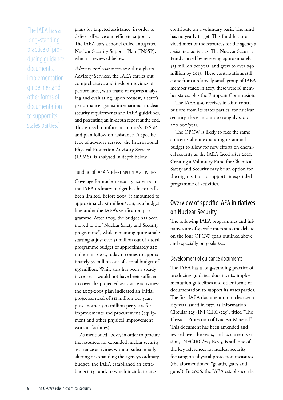"The IAEA has a long-standing practice of producing guidance documents, implementation guidelines and other forms of documentation to support its states parties."

plans for targeted assistance, in order to deliver effective and efficient support. The IAEA uses a model called Integrated Nuclear Security Support Plan (INSSP), which is reviewed below.

*Advisory and review services*: through its Advisory Services, the IAEA carries out comprehensive and in-depth reviews of performance, with teams of experts analysing and evaluating, upon request, a state's performance against international nuclear security requirements and IAEA guidelines, and presenting an in-depth report at the end. This is used to inform a country's INSSP and plan follow-on assistance. A specific type of advisory service, the International Physical Protection Advisory Service (IPPAS), is analysed in depth below.

#### Funding of IAEA Nuclear Security activities

Coverage for nuclear security activities in the IAEA ordinary budget has historically been limited. Before 2003, it amounted to approximately \$1 million/year, as a budget line under the IAEA's verification programme. After 2003, the budget has been moved to the "Nuclear Safety and Security programme", while remaining quite small: starting at just over \$1 million out of a total programme budget of approximately \$20 million in 2003, today it comes to approximately \$5 million out of a total budget of \$35 million. While this has been a steady increase, it would not have been sufficient to cover the projected assistance activities: the 2003-2005 plan indicated an initial projected need of \$11 million per year, plus another \$20 million per years for improvements and procurement (equipment and other physical improvement work at facilities).

As mentioned above, in order to procure the resources for expanded nuclear security assistance activities without substantially altering or expanding the agency's ordinary budget, the IAEA established an extrabudgetary fund, to which member states

contribute on a voluntary basis. The fund has no yearly target. This fund has provided most of the resources for the agency's assistance activities. The Nuclear Security Fund started by receiving approximately \$15 million per year, and grew to over \$40 million by 2013. These contributions still come from a relatively small group of IAEA member states: in 2017, these were 16 member states, plus the European Commission.

The IAEA also receives in-kind contributions from its states parties; for nuclear security, these amount to roughly \$100-200,000/year.

The OPCW is likely to face the same concerns about expanding its annual budget to allow for new efforts on chemical security as the IAEA faced after 2001. Creating a Voluntary Fund for Chemical Safety and Security may be an option for the organisation to support an expanded programme of activities.

## Overview of specific IAEA initiatives on Nuclear Security

The following IAEA programmes and initiatives are of specific interest to the debate on the four OPCW goals outlined above, and especially on goals 2-4.

#### Development of guidance documents

The IAEA has a long-standing practice of producing guidance documents, implementation guidelines and other forms of documentation to support its states parties. The first IAEA document on nuclear security was issued in 1972 as Information Circular 225 (INFCIRC/225), titled "The Physical Protection of Nuclear Material". This document has been amended and revised over the years, and its current version, INFCIRC/225 Rev.5, is still one of the key references for nuclear security, focusing on physical protection measures (the aformentioned "guards, gates and guns"). In 2006, the IAEA established the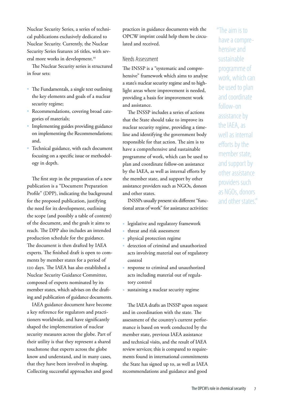Nuclear Security Series, a series of technical publications exclusively dedicated to Nuclear Security. Currently, the Nuclear Security Series features 26 titles, with several more works in development.<sup>10</sup>

The Nuclear Security series is structured in four sets:

- The Fundamentals, a single text outlining the key elements and goals of a nuclear security regime;
- Recommendations, covering broad categories of materials;
- Implementing guides providing guidance on implementing the Recommendations; and,
- Technical guidance, with each document focusing on a specific issue or methodology in depth.

The first step in the preparation of a new publication is a "Document Preparation Profile" (DPP), indicating the background for the proposed publication, justifying the need for its development, outlining the scope (and possibly a table of content) of the document, and the goals it aims to reach. The DPP also includes an intended production schedule for the guidance. The document is then drafted by IAEA experts. The finished draft is open to comments by member states for a period of 120 days. The IAEA has also established a Nuclear Security Guidance Committee, composed of experts nominated by its member states, which advises on the drafting and publication of guidance documents.

IAEA guidance document have become a key reference for regulators and practitioners worldwide, and have significantly shaped the implementation of nuclear security measures across the globe. Part of their utility is that they represent a shared touchstone that experts across the globe know and understand, and in many cases, that they have been involved in shaping. Collecting successful approaches and good practices in guidance documents with the OPCW imprint could help them be circulated and received.

#### Needs Assessment

The INSSP is a "systematic and comprehensive" framework which aims to analyse a state's nuclear security regime and to highlight areas where improvement is needed, providing a basis for improvement work and assistance.

The INSSP includes a series of actions that the State should take to improve its nuclear security regime, providing a timeline and identifying the government body responsible for that action. The aim is to have a comprehensive and sustainable programme of work, which can be used to plan and coordinate follow-on assistance by the IAEA, as well as internal efforts by the member state, and support by other assistance providers such as NGOs, donors and other states.

INSSPs usually present six different "functional areas of work" for assistance activities:

- legislative and regulatory framework
- threat and risk assessment
- physical protection regime
- detection of criminal and unauthorized acts involving material out of regulatory control
- response to criminal and unauthorized acts including material out of regulatory control
- sustaining a nuclear security regime

The IAEA drafts an INSSP upon request and in coordination with the state. The assessment of the country's current performance is based on work conducted by the member state, previous IAEA assistance and technical visits, and the result of IAEA review services; this is compared to requirements found in international commitments the State has signed up to, as well as IAEA recommendations and guidance and good

"The aim is to have a comprehensive and sustainable programme of work, which can be used to plan and coordinate follow-on assistance by the IAEA, as well as internal efforts by the member state, and support by other assistance providers such as NGOs, donors and other states."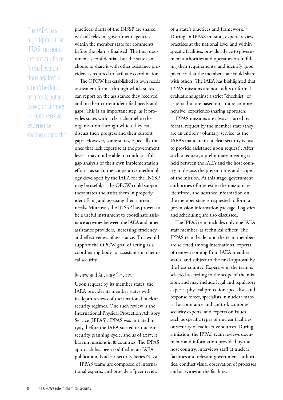"The IAEA has highlighted that IPPAS missions are not audits or formal evaluations against a strict 'checklist' of criteria, but are based on a more comprehensive, experiencesharing approach." practices. drafts of the INSSP are shared with all relevant government agencies within the member state for comments before the plan is finalised. The final document is confidential, but the state can choose to share it with other assistance providers as required to facilitate coordination.

The OPCW has established its own needs assessment form,<sup>11</sup> through which states can report on the assistance they received and on their current identified needs and gaps. This is an important step, as it provides states with a clear channel to the organisation through which they can discuss their progress and their current gaps. However, some states, especially the ones that lack expertise at the government levels, may not be able to conduct a full gap analysis of their own implementation efforts; as such, the cooperative methodology developed by the IAEA for the INSSP may be useful, as the OPCW could support these states and assist them in properly identifying and assessing their current needs. Moreover, the INSSP has proven to be a useful instrument to coordinate assistance activities between the IAEA and other assistance providers, increasing efficiency and effectiveness of assistance. This would support the OPCW goal of acting as a coordinating body for assistance in chemical security.

#### Review and Advisory Services

Upon request by its member states, the IAEA provides its member states with in-depth reviews of their national nuclear security regimes. One such review is the International Physical Protection Advisory Service (IPPAS). IPPAS was initiated in 1995, before the IAEA started its nuclear security planning cycle, and as of 2017, it has run missions in 81 countries. The IPPAS approach has been codified in an IAEA publication, Nuclear Security Series N. 29.

IPPAS teams are composed of international experts, and provide a "peer review"

of a state's practices and framework.<sup>12</sup> During an IPPAS mission, experts review practices at the national level and within specific facilities, provide advice to government authorities and operators on fulfilling their requirements, and identify good practices that the member state could share with others. The IAEA has highlighted that IPPAS missions are not audits or formal evaluations against a strict "checklist" of criteria, but are based on a more comprehensive, experience-sharing approach.

IPPAS missions are always started by a formal request by the member state (they are an entirely voluntary service, as the IAEA's mandate in nuclear security is just to provide assistance upon request). After such a request, a preliminary meeting is held between the IAEA and the host country to discuss the preparations and scope of the mission. At this stage, government authorities of interest to the mission are identified, and advance information on the member state is requested to form a pre-mission information package. Logistics and scheduling are also discussed.

The IPPAS team includes only one IAEA staff member, as technical officer. The IPPAS team leader and the team members are selected among international experts of renown coming from IAEA member states, and subject to the final approval by the host country. Expertise in the team is selected according to the scope of the mission, and may include legal and regulatory experts, physical protection specialists and response forces, specialists in nuclear material accountancy and control, computer security experts, and experts on issues such as specific types of nuclear facilities, or security of radioactive sources. During a mission, the IPPAS team reviews documents and information provided by the host country, interviews staff at nuclear facilities and relevant government authorities, conduct visual observation of processes and activities at the facilities.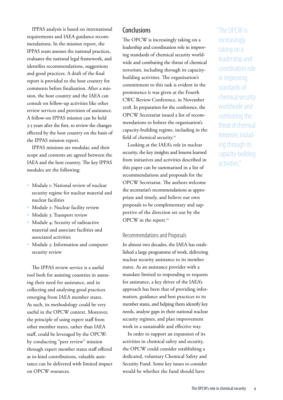IPPAS analysis is based on international requirements and IAEA guidance recommendations. In the mission report, the IPPAS team assesses the national practices, evaluates the national legal framework, and identifies recommendations, suggestions and good practices. A draft of the final report is provided to the host country for comments before finalisation. After a mission, the host country and the IAEA can consult on follow-up activities like other review services and provision of assistance. A follow-on IPPAS mission can be held 3-5 years after the first, to review the changes effected by the host country on the basis of the IPPAS mission report.

IPPAS missions are modular, and their scope and contents are agreed between the IAEA and the host country. The key IPPAS modules are the following:

- Module 1: National review of nuclear security regime for nuclear material and nuclear facilities
- Module 2: Nuclear facility review
- Module 3: Transport review
- Module 4: Security of radioactive material and associate facilities and associated activities
- Module 5: Information and computer security review

The IPPAS review service is a useful tool both for assisting countries in assessing their need for assistance, and in collecting and analysing good practices emerging from IAEA member states. As such, its methodology could be very useful in the OPCW context. Moreover, the principle of using expert staff from other member states, rather than IAEA staff, could be leveraged by the OPCW: by conducting "peer review" mission through expert member states staff offered as in-kind contributions, valuable assistance can be delivered with limited impact on OPCW resources.

## **Conclusions**

The OPCW is increasingly taking on a leadership and coordination role in improving standards of chemical security worldwide and combating the threat of chemical terrorism, including through its capacitybuilding activities. The organisation's commitment to this task is evident in the prominence it was given at the Fourth CWC Review Conference, in November 2018. In preparation for the conference, the OPCW Secretariat issued a list of recommendations to bolster the organisation's capacity-building regime, including in the field of chemical security.<sup>13</sup>

Looking at the IAEA's role in nuclear security, the key insights and lessons learned from initiatives and activities described in this paper can be summarised in a list of recommendations and proposals for the OPCW Secretariat. The authors welcome the secretariat's recommendations as appropriate and timely, and believe our own proposals to be complementary and supportive of the direction set out by the OPCW in the report.<sup>14</sup>

#### Recommendations and Proposals

In almost two decades, the IAEA has established a large programme of work, delivering nuclear security assistance to its member states. As an assistance provider with a mandate limited to responding to requests for assistance, a key driver of the IAEA's approach has been that of providing information, guidance and best practices to its member states, and helping them identify key needs, analyse gaps in their national nuclear security regimes, and plan improvement work in a sustainable and effective way.

In order to support an expansion of its activities in chemical safety and security, the OPCW could consider establishing a dedicated, voluntary Chemical Safety and Security Fund. Some key issues to consider would be whether the fund should have

"The OPCW is increasingly taking on a leadership and coordination role in improving standards of chemical security worldwide and combating the threat of chemical terrorism, including through its capacity-building activities."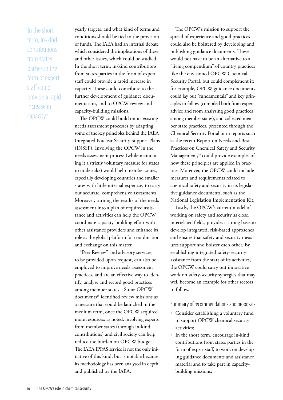"In the short term, in-kind contributions from states parties in the form of expert staff could provide a rapid increase in capacity."

yearly targets, and what kind of terms and conditions should be tied to the provision of funds. The IAEA had an internal debate which considered the implications of these and other issues, which could be studied. In the short term, in-kind contributions from states parties in the form of expert staff could provide a rapid increase in capacity. These could contribute to the further development of guidance documentation, and to OPCW review and capacity-building missions.

The OPCW could build on its existing needs assessment processes by adapting some of the key principles behind the IAEA Integrated Nuclear Security Support Plans (INSSP). Involving the OPCW in the needs assessment process (while maintaining it a strictly voluntary measure for states to undertake) would help member states, especially developing countries and smaller states with little internal expertise, to carry out accurate, comprehensive assessments. Moreover, turning the results of the needs assessment into a plan of required assistance and activities can help the OPCW coordinate capacity-building effort with other assistance providers and enhance its role as the global platform for coordination and exchange on this matter.

"Peer Review" and advisory services, to be provided upon request, can also be employed to improve needs assessment practices, and are an effective way to identify, analyse and record good practices among member states.15 Some OPCW documents<sup>16</sup> identified review missions as a measure that could be launched in the medium term, once the OPCW acquired more resources; as noted, involving experts from member states (through in-kind contributions) and civil society can help reduce the burden on OPCW budget. The IAEA IPPAS service is not the only initiative of this kind, but is notable because its methodology has been analysed in depth and published by the IAEA.

The OPCW's mission to support the spread of experience and good practices could also be bolstered by developing and publishing guidance documents. These would not have to be an alternative to a "living compendium" of country practices like the envisioned OPCW Chemical Security Portal, but could complement it: for example, OPCW guidance documents could lay out "fundamentals" and key principles to follow (compiled both from expert advice and from analysing good practices among member states), and collected member state practices, presented through the Chemical Security Portal or in reports such as the recent Report on Needs and Best Practices on Chemical Safety and Security Management,<sup>17</sup> could provide examples of how these principles are applied in practice. Moreover, the OPCW could include measures and requirements related to chemical safety and security in its legislative guidance documents, such as the National Legislation Implementation Kit.

Lastly, the OPCW's current model of working on safety and security as close, interrelated fields, provides a strong basis to develop integrated, risk-based approaches and ensure that safety and security measures support and bolster each other. By establishing integrated safety-security assistance from the start of its activities, the OPCW could carry out innovative work on safety-security synergies that may well become an example for other sectors to follow.

Summary of recommendations and proposals

- Consider establishing a voluntary fund to support OPCW chemical security activities;
- In the short term, encourage in-kind contributions from states parties in the form of expert staff, to work on developing guidance documents and assistance material and to take part in capacitybuilding missions;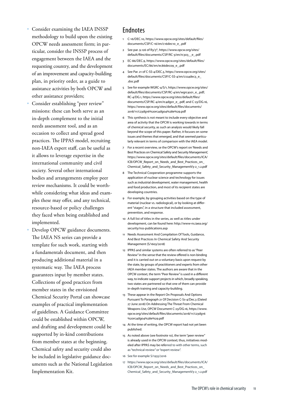- Consider examining the IAEA INSSP methodology to build upon the existing OPCW needs assessment form; in par ticular, consider the INSSP process of engagement between the IAEA and the requesting country, and the development of an improvement and capacity-building plan, in priority order, as a guide to assistance activities by both OPCW and other assistance providers;
- Consider establishing "peer review" missions: these can both serve as an in-depth complement to the initial needs assessment tool, and as an occasion to collect and spread good practices. The IPPAS model, recruiting non-IAEA expert staff, can be useful as it allows to leverage expertise in the international community and civil society. Several other international bodies and arrangements employ peer review mechanisms. It could be worth while considering what ideas and exam ples these may offer, and any technical, resource-based or policy challenges they faced when being established and implemented.
- Develop OPCW guidance documents. The IAEA NS series can provide a template for such work, starting with a fundamentals document, and then producing additional material in a systematic way. The IAEA process guarantees input by member states. Collections of good practices from member states in the envisioned Chemical Security Portal can showcase examples of practical implementation of guidelines. A Guidance Committee could be established within OPCW, and drafting and development could be supported by in-kind contributions from member states at the beginning. Chemical safety and security could also be included in legislative guidance doc uments such as the National Legislation Implementation Kit.

### **Endnotes**

- 1 C-16/DEC.10, [https://www.opcw.org/sites/default/files/](https://www.opcw.org/sites/default/files/documents/CSP/C-16/en/c16dec10_e_.pdf) [documents/CSP/C-16/en/c16dec10\\_e\\_.pdf](https://www.opcw.org/sites/default/files/documents/CSP/C-16/en/c16dec10_e_.pdf)
- 2 See par. 9.126 of R3/3\*, [https://www.opcw.org/sites/](https://www.opcw.org/sites/default/files/documents/CSP/RC-3/en/rc303__e_.pdf) [default/files/documents/CSP/RC-3/en/rc303\\_\\_e\\_.pdf](https://www.opcw.org/sites/default/files/documents/CSP/RC-3/en/rc303__e_.pdf)
- 3 EC-86/DEC.9, [https://www.opcw.org/sites/default/files/](https://www.opcw.org/sites/default/files/documents/EC/86/en/ec86dec09_e_.pdf) [documents/EC/86/en/ec86dec09\\_e\\_.pdf](https://www.opcw.org/sites/default/files/documents/EC/86/en/ec86dec09_e_.pdf)
- See Par. 21 of C-SS-4/DEC.3, [https://www.opcw.org/sites/](https://www.opcw.org/sites/default/files/documents/CSP/C-SS-4/en/css4dec3_e_.doc.pdf) [default/files/documents/CSP/C-SS-4/en/css4dec3\\_e\\_](https://www.opcw.org/sites/default/files/documents/CSP/C-SS-4/en/css4dec3_e_.doc.pdf) [.doc.pdf](https://www.opcw.org/sites/default/files/documents/CSP/C-SS-4/en/css4dec3_e_.doc.pdf)
- 5 See for example WGRC-4/S/1, [https://www.opcw.org/sites/](https://www.opcw.org/sites/default/files/documents/CSP/RC-4/en/wgrc4s01_e_.pdf) [default/files/documents/CSP/RC-4/en/wgrc4s01\\_e\\_.pdf](https://www.opcw.org/sites/default/files/documents/CSP/RC-4/en/wgrc4s01_e_.pdf); RC-4/DG.1, [https://www.opcw.org/sites/default/files/](https://www.opcw.org/sites/default/files/documents/CSP/RC-4/en/rc4dg01_e_.pdf) [documents/CSP/RC-4/en/rc4dg01\\_e\\_.pdf](https://www.opcw.org/sites/default/files/documents/CSP/RC-4/en/rc4dg01_e_.pdf); and C-23/DG.16, [https://www.opcw.org/sites/default/files/documents/](https://www.opcw.org/sites/default/files/documents/2018/11/c23dg16%20rc4dg04%28e%29.pdf) [2018/11/c23dg16%20rc4dg04%28e%29.pdf](https://www.opcw.org/sites/default/files/documents/2018/11/c23dg16%20rc4dg04%28e%29.pdf)
- 6 This synthesis is not meant to include every objective and area of activity that the OPCW is working towards in terms of chemical security, as such an analysis would likely fall beyond the scope of this paper. Rather, it focuses on some issues and themes that emerged, and that seemed particu larly relevant in terms of comparison with the IAEA model.
- 7 For a recent overview, se the OPCW's report on 'Needs and Best Practices on Chemical Safety and Security Management', [https://www.opcw.org/sites/default/files/documents/ICA/](https://www.opcw.org/sites/default/files/documents/ICA/ICB/OPCW_Report_on_Needs_and_Best_Practices_on_Chemical_Safety_and_Security_ManagementV3-2_1.2.pdf) [ICB/OPCW\\_Report\\_on\\_Needs\\_and\\_Best\\_Practices\\_on\\_](https://www.opcw.org/sites/default/files/documents/ICA/ICB/OPCW_Report_on_Needs_and_Best_Practices_on_Chemical_Safety_and_Security_ManagementV3-2_1.2.pdf) [Chemical\\_Safety\\_and\\_Security\\_ManagementV3-2\\_1.2.pdf](https://www.opcw.org/sites/default/files/documents/ICA/ICB/OPCW_Report_on_Needs_and_Best_Practices_on_Chemical_Safety_and_Security_ManagementV3-2_1.2.pdf)
- 8 The Technical Cooperation programme supports the application of nuclear science and technology for issues such as industrial development, water management, health and food production, and most of its recipient states are developing countries.
- 9 For example, by grouping activities based on the type of material (nuclear vs. radiological), or by looking at differ ent "stages", in a structure that included assessment, prevention, and response.
- 10 A full list of titles in the series, as well as titles under development, can be found here: http://www-ns.iaea.org/ security/nss-publications.asp
- 11 Needs Assessment And Compilation Of Tools, Guidance, And Best Practices In Chemical Safety And Security Management (S/1603/2018)
- 12 IPPAS and similar systems are often referred to as "Peer Review" in the sense that the review offered is non-binding and it is carried out on a voluntary basis upon request by the state, by groups of practitioners and experts from other IAEA member states. The authors are aware that in the OPCW context, the term "Peer Review" is used in a different way, to indicate support projects in which, broadly speaking, two states are partnered so that one of them can provide in-depth training and capacity-building.
- 13 These appear in the Report On Proposals And Options Pursuant To Paragraph 21 Of Decision C-Ss-4/Dec.3 (Dated 27 June 2018) On Addressing The Threat From Chemical Weapons Use, OPCW Document C-23/DG.16, [https://www.](https://www.opcw.org/sites/default/files/documents/2018/11/c23dg16%20rc4dg04%28e%29.pdf) [opcw.org/sites/default/files/documents/2018/11/c23dg16](https://www.opcw.org/sites/default/files/documents/2018/11/c23dg16%20rc4dg04%28e%29.pdf) [%20rc4dg04%28e%29.pdf](https://www.opcw.org/sites/default/files/documents/2018/11/c23dg16%20rc4dg04%28e%29.pdf)
- 14 At the time of writing, the OPCW report had not yet been published.
- 15 As noted above (see footnote 10), the term "peer review" is already used in the OPCW context; thus, initiatives mod eled after IPPAS may be referred to with other terms, such as "technical review" or "expert review".
- 16 See for example S/1935/2016
- 17 https://www.opcw.org/sites/default/files/documents/ICA/ ICB/OPCW\_Report\_on\_Needs\_and\_Best\_Practices\_on\_ Chemical\_Safety\_and\_Security\_ManagementV3-2\_1.2.pdf